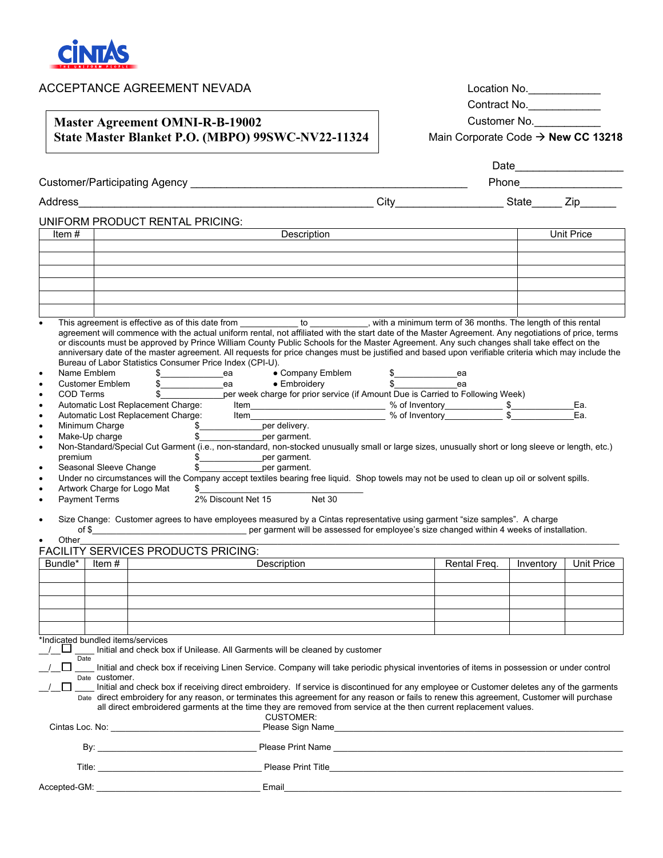

| ACCEPTANCE AGREEMENT NEVADA<br><b>Master Agreement OMNI-R-B-19002</b>                                                                                                          |                                                                                                      |                                                                                                                                                                                                                                                                                                                                                                                                                                                                                                                                                                                                                                                                                                                                                                                                                                                                                                                                                                                                                                                                                                                                                                                                                                                                                                                                                             |  | Location No.<br>Contract No.<br>Customer No. |            |            |  |
|--------------------------------------------------------------------------------------------------------------------------------------------------------------------------------|------------------------------------------------------------------------------------------------------|-------------------------------------------------------------------------------------------------------------------------------------------------------------------------------------------------------------------------------------------------------------------------------------------------------------------------------------------------------------------------------------------------------------------------------------------------------------------------------------------------------------------------------------------------------------------------------------------------------------------------------------------------------------------------------------------------------------------------------------------------------------------------------------------------------------------------------------------------------------------------------------------------------------------------------------------------------------------------------------------------------------------------------------------------------------------------------------------------------------------------------------------------------------------------------------------------------------------------------------------------------------------------------------------------------------------------------------------------------------|--|----------------------------------------------|------------|------------|--|
|                                                                                                                                                                                |                                                                                                      |                                                                                                                                                                                                                                                                                                                                                                                                                                                                                                                                                                                                                                                                                                                                                                                                                                                                                                                                                                                                                                                                                                                                                                                                                                                                                                                                                             |  |                                              |            |            |  |
|                                                                                                                                                                                |                                                                                                      | State Master Blanket P.O. (MBPO) 99SWC-NV22-11324                                                                                                                                                                                                                                                                                                                                                                                                                                                                                                                                                                                                                                                                                                                                                                                                                                                                                                                                                                                                                                                                                                                                                                                                                                                                                                           |  | Main Corporate Code → New CC 13218           |            |            |  |
|                                                                                                                                                                                |                                                                                                      |                                                                                                                                                                                                                                                                                                                                                                                                                                                                                                                                                                                                                                                                                                                                                                                                                                                                                                                                                                                                                                                                                                                                                                                                                                                                                                                                                             |  | Phone __________________                     |            |            |  |
|                                                                                                                                                                                |                                                                                                      | Address Zip                                                                                                                                                                                                                                                                                                                                                                                                                                                                                                                                                                                                                                                                                                                                                                                                                                                                                                                                                                                                                                                                                                                                                                                                                                                                                                                                                 |  |                                              |            |            |  |
|                                                                                                                                                                                |                                                                                                      |                                                                                                                                                                                                                                                                                                                                                                                                                                                                                                                                                                                                                                                                                                                                                                                                                                                                                                                                                                                                                                                                                                                                                                                                                                                                                                                                                             |  |                                              |            |            |  |
| Item $#$                                                                                                                                                                       |                                                                                                      | UNIFORM PRODUCT RENTAL PRICING:                                                                                                                                                                                                                                                                                                                                                                                                                                                                                                                                                                                                                                                                                                                                                                                                                                                                                                                                                                                                                                                                                                                                                                                                                                                                                                                             |  |                                              | Unit Price |            |  |
|                                                                                                                                                                                |                                                                                                      |                                                                                                                                                                                                                                                                                                                                                                                                                                                                                                                                                                                                                                                                                                                                                                                                                                                                                                                                                                                                                                                                                                                                                                                                                                                                                                                                                             |  |                                              |            |            |  |
|                                                                                                                                                                                |                                                                                                      |                                                                                                                                                                                                                                                                                                                                                                                                                                                                                                                                                                                                                                                                                                                                                                                                                                                                                                                                                                                                                                                                                                                                                                                                                                                                                                                                                             |  |                                              |            |            |  |
|                                                                                                                                                                                |                                                                                                      |                                                                                                                                                                                                                                                                                                                                                                                                                                                                                                                                                                                                                                                                                                                                                                                                                                                                                                                                                                                                                                                                                                                                                                                                                                                                                                                                                             |  |                                              |            |            |  |
|                                                                                                                                                                                |                                                                                                      |                                                                                                                                                                                                                                                                                                                                                                                                                                                                                                                                                                                                                                                                                                                                                                                                                                                                                                                                                                                                                                                                                                                                                                                                                                                                                                                                                             |  |                                              |            |            |  |
|                                                                                                                                                                                |                                                                                                      | This agreement is effective as of this date from ____________ to __________, with a minimum term of 36 months. The length of this rental                                                                                                                                                                                                                                                                                                                                                                                                                                                                                                                                                                                                                                                                                                                                                                                                                                                                                                                                                                                                                                                                                                                                                                                                                    |  |                                              |            |            |  |
| $\bullet$<br>$\bullet$<br>$\bullet$<br>$\bullet$<br>$\bullet$<br>$\bullet$<br>$\bullet$<br>premium<br>$\bullet$<br>$\bullet$<br>$\bullet$<br><b>Payment Terms</b><br>$\bullet$ | Name Emblem<br>Customer Emblem<br>COD Terms<br>Seasonal Sleeve Change<br>Artwork Charge for Logo Mat | agreement will commence with the actual uniform rental, not affiliated with the start date of the Master Agreement. Any negotiations of price, terms<br>or discounts must be approved by Prince William County Public Schools for the Master Agreement. Any such changes shall take effect on the<br>anniversary date of the master agreement. All requests for price changes must be justified and based upon verifiable criteria which may include the<br>Bureau of Labor Statistics Consumer Price Index (CPI-U).<br>• Company Emblem<br>\$_____________________________ea<br>\$<br>The mbroidery<br>S<br>The scarried to Following Week)<br>S<br>The scarried to Following Week)<br>Automatic Lost Replacement Charge: Item with the service of the service of the Scarling veces of the Scarling veces of the Scarling veces of the Scarling veces of the Scarling veces of the Scarling veces of the Scarling ve<br>\$__________________per garment.<br>Non-Standard/Special Cut Garment (i.e., non-standard, non-stocked unusually small or large sizes, unusually short or long sleeve or length, etc.)<br>\$_________________per garment.<br>\$ per garment.<br>Under no circumstances will the Company accept textiles bearing free liquid. Shop towels may not be used to clean up oil or solvent spills.<br>2% Discount Net 15<br><b>Net 30</b> |  | ea                                           |            | Ea.<br>Ea. |  |
| $\bullet$                                                                                                                                                                      |                                                                                                      | Size Change: Customer agrees to have employees measured by a Cintas representative using garment "size samples". A charge                                                                                                                                                                                                                                                                                                                                                                                                                                                                                                                                                                                                                                                                                                                                                                                                                                                                                                                                                                                                                                                                                                                                                                                                                                   |  |                                              |            |            |  |
| Other                                                                                                                                                                          |                                                                                                      |                                                                                                                                                                                                                                                                                                                                                                                                                                                                                                                                                                                                                                                                                                                                                                                                                                                                                                                                                                                                                                                                                                                                                                                                                                                                                                                                                             |  |                                              |            |            |  |
|                                                                                                                                                                                |                                                                                                      | FACILITY SERVICES PRODUCTS PRICING:                                                                                                                                                                                                                                                                                                                                                                                                                                                                                                                                                                                                                                                                                                                                                                                                                                                                                                                                                                                                                                                                                                                                                                                                                                                                                                                         |  |                                              |            |            |  |
|                                                                                                                                                                                |                                                                                                      | Bundle*   Item #   Description                                                                                                                                                                                                                                                                                                                                                                                                                                                                                                                                                                                                                                                                                                                                                                                                                                                                                                                                                                                                                                                                                                                                                                                                                                                                                                                              |  | Rental Freq.   Inventory   Unit Price        |            |            |  |
|                                                                                                                                                                                |                                                                                                      |                                                                                                                                                                                                                                                                                                                                                                                                                                                                                                                                                                                                                                                                                                                                                                                                                                                                                                                                                                                                                                                                                                                                                                                                                                                                                                                                                             |  |                                              |            |            |  |
|                                                                                                                                                                                |                                                                                                      |                                                                                                                                                                                                                                                                                                                                                                                                                                                                                                                                                                                                                                                                                                                                                                                                                                                                                                                                                                                                                                                                                                                                                                                                                                                                                                                                                             |  |                                              |            |            |  |
|                                                                                                                                                                                |                                                                                                      |                                                                                                                                                                                                                                                                                                                                                                                                                                                                                                                                                                                                                                                                                                                                                                                                                                                                                                                                                                                                                                                                                                                                                                                                                                                                                                                                                             |  |                                              |            |            |  |
| *Indicated bundled items/services                                                                                                                                              |                                                                                                      |                                                                                                                                                                                                                                                                                                                                                                                                                                                                                                                                                                                                                                                                                                                                                                                                                                                                                                                                                                                                                                                                                                                                                                                                                                                                                                                                                             |  |                                              |            |            |  |
| Date                                                                                                                                                                           |                                                                                                      | Initial and check box if Unilease. All Garments will be cleaned by customer                                                                                                                                                                                                                                                                                                                                                                                                                                                                                                                                                                                                                                                                                                                                                                                                                                                                                                                                                                                                                                                                                                                                                                                                                                                                                 |  |                                              |            |            |  |
|                                                                                                                                                                                |                                                                                                      | Initial and check box if receiving Linen Service. Company will take periodic physical inventories of items in possession or under control                                                                                                                                                                                                                                                                                                                                                                                                                                                                                                                                                                                                                                                                                                                                                                                                                                                                                                                                                                                                                                                                                                                                                                                                                   |  |                                              |            |            |  |
|                                                                                                                                                                                | Date Customer.                                                                                       | Initial and check box if receiving direct embroidery. If service is discontinued for any employee or Customer deletes any of the garments<br>Date direct embroidery for any reason, or terminates this agreement for any reason or fails to renew this agreement, Customer will purchase<br>all direct embroidered garments at the time they are removed from service at the then current replacement values.<br><b>CUSTOMER:</b>                                                                                                                                                                                                                                                                                                                                                                                                                                                                                                                                                                                                                                                                                                                                                                                                                                                                                                                           |  |                                              |            |            |  |
|                                                                                                                                                                                |                                                                                                      | Please Sign Name                                                                                                                                                                                                                                                                                                                                                                                                                                                                                                                                                                                                                                                                                                                                                                                                                                                                                                                                                                                                                                                                                                                                                                                                                                                                                                                                            |  |                                              |            |            |  |
|                                                                                                                                                                                |                                                                                                      |                                                                                                                                                                                                                                                                                                                                                                                                                                                                                                                                                                                                                                                                                                                                                                                                                                                                                                                                                                                                                                                                                                                                                                                                                                                                                                                                                             |  |                                              |            |            |  |

| Title: | <b>Please Print Title</b> |  |  |
|--------|---------------------------|--|--|
|        |                           |  |  |

Accepted-GM: \_\_\_\_\_\_\_\_\_\_\_\_\_\_\_\_\_\_\_\_\_\_\_\_\_\_\_\_\_\_\_\_\_\_ Email\_\_\_\_\_\_\_\_\_\_\_\_\_\_\_\_\_\_\_\_\_\_\_\_\_\_\_\_\_\_\_\_\_\_\_\_\_\_\_\_\_\_\_\_\_\_\_\_\_\_\_\_\_\_\_\_\_\_\_\_\_\_\_\_\_\_\_\_\_\_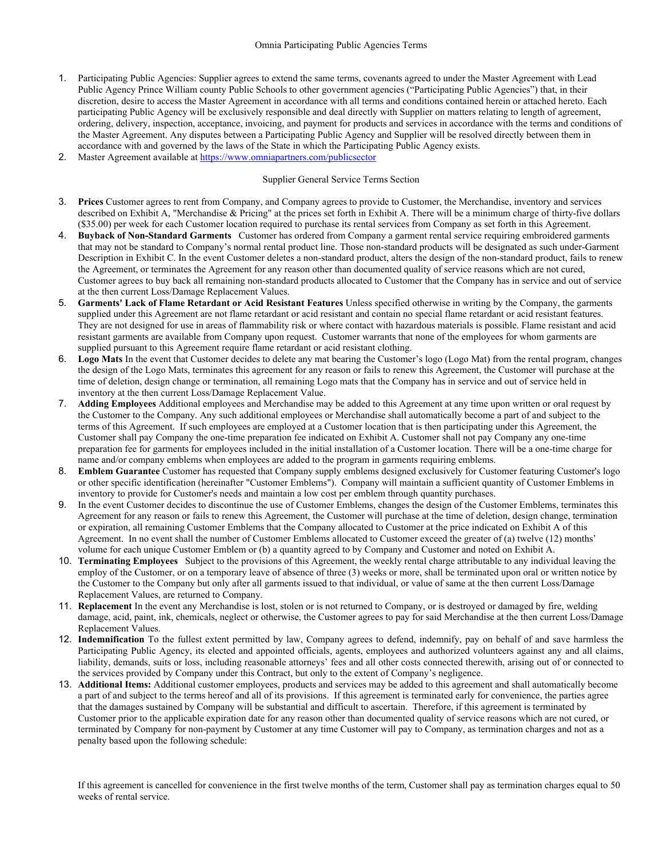- 1. Participating Public Agencies: Supplier agrees to extend the same terms, covenants agreed to under the Master Agreement with Lead Public Agency Prince William county Public Schools to other government agencies ("Participating Public Agencies") that, in their discretion, desire to access the Master Agreement in accordance with all terms and conditions contained herein or attached hereto. Each participating Public Agency will be exclusively responsible and deal directly with Supplier on matters relating to length of agreement, ordering, delivery, inspection, acceptance, invoicing, and payment for products and services in accordance with the terms and conditions of the Master Agreement. Any disputes between a Participating Public Agency and Supplier will be resolved directly between them in accordance with and governed by the laws of the State in which the Participating Public Agency exists.
- 2. Master Agreement available at https://www.omniapartners.com/publicsector

## Supplier General Service Terms Section

- 3. **Prices** Customer agrees to rent from Company, and Company agrees to provide to Customer, the Merchandise, inventory and services described on Exhibit A, "Merchandise & Pricing" at the prices set forth in Exhibit A. There will be a minimum charge of thirty-five dollars (\$35.00) per week for each Customer location required to purchase its rental services from Company as set forth in this Agreement.
- 4. **Buyback of Non-Standard Garments** Customer has ordered from Company a garment rental service requiring embroidered garments that may not be standard to Company's normal rental product line. Those non-standard products will be designated as such under-Garment Description in Exhibit C. In the event Customer deletes a non-standard product, alters the design of the non-standard product, fails to renew the Agreement, or terminates the Agreement for any reason other than documented quality of service reasons which are not cured, Customer agrees to buy back all remaining non-standard products allocated to Customer that the Company has in service and out of service at the then current Loss/Damage Replacement Values.
- 5. **Garments' Lack of Flame Retardant or Acid Resistant Features** Unless specified otherwise in writing by the Company, the garments supplied under this Agreement are not flame retardant or acid resistant and contain no special flame retardant or acid resistant features. They are not designed for use in areas of flammability risk or where contact with hazardous materials is possible. Flame resistant and acid resistant garments are available from Company upon request. Customer warrants that none of the employees for whom garments are supplied pursuant to this Agreement require flame retardant or acid resistant clothing.
- 6. **Logo Mats** In the event that Customer decides to delete any mat bearing the Customer's logo (Logo Mat) from the rental program, changes the design of the Logo Mats, terminates this agreement for any reason or fails to renew this Agreement, the Customer will purchase at the time of deletion, design change or termination, all remaining Logo mats that the Company has in service and out of service held in inventory at the then current Loss/Damage Replacement Value.
- 7. **Adding Employees** Additional employees and Merchandise may be added to this Agreement at any time upon written or oral request by the Customer to the Company. Any such additional employees or Merchandise shall automatically become a part of and subject to the terms of this Agreement. If such employees are employed at a Customer location that is then participating under this Agreement, the Customer shall pay Company the one-time preparation fee indicated on Exhibit A. Customer shall not pay Company any one-time preparation fee for garments for employees included in the initial installation of a Customer location. There will be a one-time charge for name and/or company emblems when employees are added to the program in garments requiring emblems.
- 8. **Emblem Guarantee** Customer has requested that Company supply emblems designed exclusively for Customer featuring Customer's logo or other specific identification (hereinafter "Customer Emblems"). Company will maintain a sufficient quantity of Customer Emblems in inventory to provide for Customer's needs and maintain a low cost per emblem through quantity purchases.
- 9. In the event Customer decides to discontinue the use of Customer Emblems, changes the design of the Customer Emblems, terminates this Agreement for any reason or fails to renew this Agreement, the Customer will purchase at the time of deletion, design change, termination or expiration, all remaining Customer Emblems that the Company allocated to Customer at the price indicated on Exhibit A of this Agreement. In no event shall the number of Customer Emblems allocated to Customer exceed the greater of (a) twelve (12) months' volume for each unique Customer Emblem or (b) a quantity agreed to by Company and Customer and noted on Exhibit A.
- 10. **Terminating Employees** Subject to the provisions of this Agreement, the weekly rental charge attributable to any individual leaving the employ of the Customer, or on a temporary leave of absence of three (3) weeks or more, shall be terminated upon oral or written notice by the Customer to the Company but only after all garments issued to that individual, or value of same at the then current Loss/Damage Replacement Values, are returned to Company.
- 11. **Replacement** In the event any Merchandise is lost, stolen or is not returned to Company, or is destroyed or damaged by fire, welding damage, acid, paint, ink, chemicals, neglect or otherwise, the Customer agrees to pay for said Merchandise at the then current Loss/Damage Replacement Values.
- 12. **Indemnification** To the fullest extent permitted by law, Company agrees to defend, indemnify, pay on behalf of and save harmless the Participating Public Agency, its elected and appointed officials, agents, employees and authorized volunteers against any and all claims, liability, demands, suits or loss, including reasonable attorneys' fees and all other costs connected therewith, arising out of or connected to the services provided by Company under this Contract, but only to the extent of Company's negligence.
- 13. **Additional Items:** Additional customer employees, products and services may be added to this agreement and shall automatically become a part of and subject to the terms hereof and all of its provisions. If this agreement is terminated early for convenience, the parties agree that the damages sustained by Company will be substantial and difficult to ascertain. Therefore, if this agreement is terminated by Customer prior to the applicable expiration date for any reason other than documented quality of service reasons which are not cured, or terminated by Company for non-payment by Customer at any time Customer will pay to Company, as termination charges and not as a penalty based upon the following schedule:

If this agreement is cancelled for convenience in the first twelve months of the term, Customer shall pay as termination charges equal to 50 weeks of rental service.